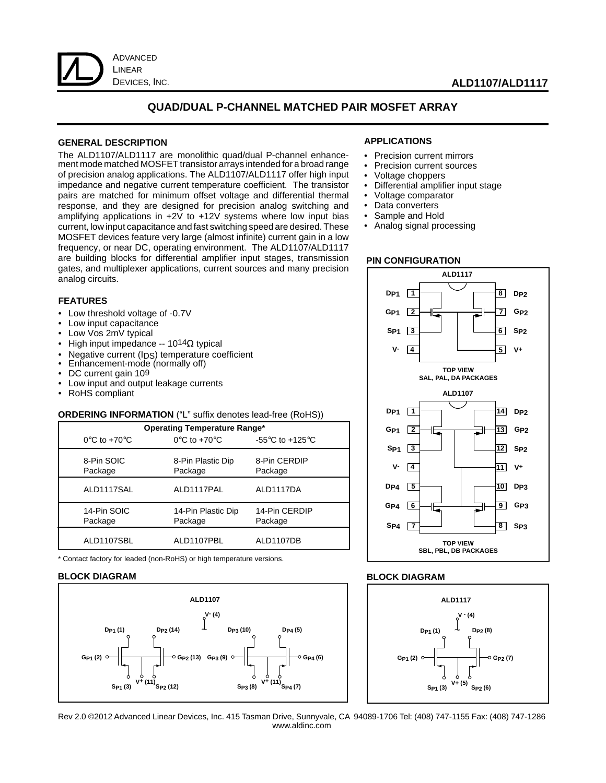

#### **ALD1107/ALD1117**

#### **QUAD/DUAL P-CHANNEL MATCHED PAIR MOSFET ARRAY**

#### **GENERAL DESCRIPTION**

The ALD1107/ALD1117 are monolithic quad/dual P-channel enhancement mode matched MOSFET transistor arrays intended for a broad range of precision analog applications. The ALD1107/ALD1117 offer high input impedance and negative current temperature coefficient. The transistor pairs are matched for minimum offset voltage and differential thermal response, and they are designed for precision analog switching and amplifying applications in +2V to +12V systems where low input bias current, low input capacitance and fast switching speed are desired. These MOSFET devices feature very large (almost infinite) current gain in a low frequency, or near DC, operating environment. The ALD1107/ALD1117 are building blocks for differential amplifier input stages, transmission gates, and multiplexer applications, current sources and many precision analog circuits.

#### **APPLICATIONS**

- Precision current mirrors
- Precision current sources
- Voltage choppers
- Differential amplifier input stage
- Voltage comparator<br>• Data converters
- Data converters
- Sample and Hold
- Analog signal processing

#### **PIN CONFIGURATION**



#### **BLOCK DIAGRAM**



#### **FEATURES**

- Low threshold voltage of -0.7V
- Low input capacitance
- Low Vos 2mV typical
- High input impedance --  $10^{14}\Omega$  typical
- Negative current (IDS) temperature coefficient
- Enhancement-mode (normally off)
- DC current gain 109
- Low input and output leakage currents
- RoHS compliant

#### **ORDERING INFORMATION** ("L" suffix denotes lead-free (RoHS))

| <b>Operating Temperature Range*</b> |                                   |                                                       |  |  |  |
|-------------------------------------|-----------------------------------|-------------------------------------------------------|--|--|--|
| $0^{\circ}$ C to +70 $^{\circ}$ C   | $0^{\circ}$ C to +70 $^{\circ}$ C | -55 $\mathrm{^{\circ}C}$ to +125 $\mathrm{^{\circ}C}$ |  |  |  |
| 8-Pin SOIC<br>Package               | 8-Pin Plastic Dip<br>Package      | 8-Pin CERDIP<br>Package                               |  |  |  |
| ALD1117SAL                          | ALD1117PAL                        | ALD1117DA                                             |  |  |  |
| 14-Pin SOIC<br>Package              | 14-Pin Plastic Dip<br>Package     | 14-Pin CERDIP<br>Package                              |  |  |  |
| ALD1107SBL                          | ALD1107PBL                        | ALD1107DB                                             |  |  |  |

\* Contact factory for leaded (non-RoHS) or high temperature versions.

#### **BLOCK DIAGRAM**



Rev 2.0 ©2012 Advanced Linear Devices, Inc. 415 Tasman Drive, Sunnyvale, CA 94089-1706 Tel: (408) 747-1155 Fax: (408) 747-1286 www.aldinc.com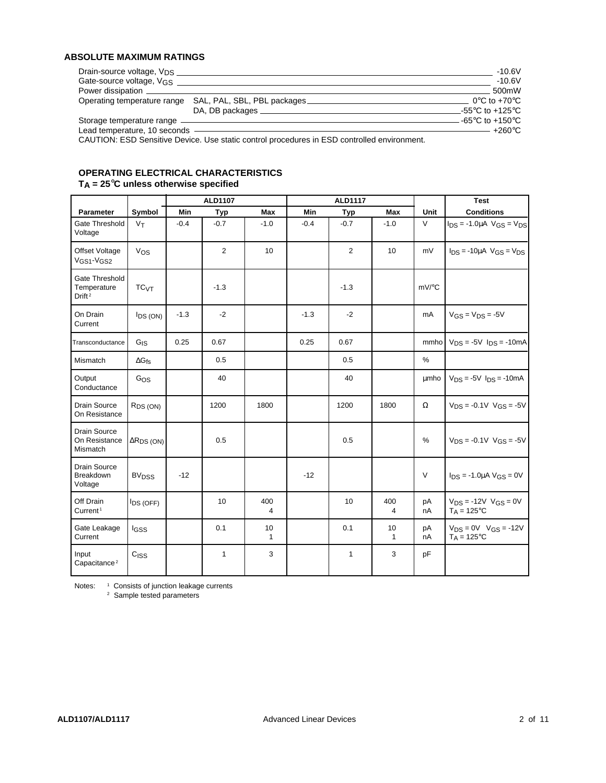### **ABSOLUTE MAXIMUM RATINGS**

| Drain-source voltage, V <sub>DS</sub> |                                                                                             | $-10.6V$                          |
|---------------------------------------|---------------------------------------------------------------------------------------------|-----------------------------------|
| Gate-source voltage, VGS              |                                                                                             | -10.6V                            |
| Power dissipation ______              |                                                                                             | 500mW                             |
|                                       | Operating temperature range SAL, PAL, SBL, PBL packages                                     | $0^{\circ}$ C to +70 $^{\circ}$ C |
|                                       | DA, DB packages _                                                                           | -55°C to +125°C                   |
| Storage temperature range _           |                                                                                             | -65°C to +150°C                   |
| Lead temperature, 10 seconds          |                                                                                             | – +260°C                          |
|                                       | CALITION: ESD Seppitive Device Llee static control procedures in ESD controlled environment |                                   |

CAUTION: ESD Sensitive Device. Use static control procedures in ESD controlled environment.

#### **OPERATING ELECTRICAL CHARACTERISTICS TA = 25**°**C unless otherwise specified**

|                                                     |                         |        | ALD1107        |          |        | <b>ALD1117</b> |                    |                     | <b>Test</b>                                              |
|-----------------------------------------------------|-------------------------|--------|----------------|----------|--------|----------------|--------------------|---------------------|----------------------------------------------------------|
| Parameter                                           | Symbol                  | Min    | Typ            | Max      | Min    | <b>Typ</b>     | <b>Max</b>         | Unit                | <b>Conditions</b>                                        |
| Gate Threshold<br>Voltage                           | V <sub>T</sub>          | $-0.4$ | $-0.7$         | $-1.0$   | $-0.4$ | $-0.7$         | $-1.0$             | $\vee$              | $I_{DS} = -1.0 \mu A$ $V_{GS} = V_{DS}$                  |
| Offset Voltage<br>VGS1-VGS2                         | $V_{OS}$                |        | $\overline{2}$ | 10       |        | $\overline{2}$ | 10                 | mV                  | $I_{DS}$ = -10 $\mu$ A V <sub>GS</sub> = V <sub>DS</sub> |
| Gate Threshold<br>Temperature<br>Drift <sup>2</sup> | TC <sub>VT</sub>        |        | $-1.3$         |          |        | $-1.3$         |                    | $mV$ <sup>o</sup> C |                                                          |
| On Drain<br>Current                                 | <b>IDS (ON)</b>         | $-1.3$ | $-2$           |          | $-1.3$ | $-2$           |                    | mA                  | $V_{GS} = V_{DS} = -5V$                                  |
| Transconductance                                    | $G_{\text{IS}}$         | 0.25   | 0.67           |          | 0.25   | 0.67           |                    | mmhol               | $V_{DS} = -5V$ $I_{DS} = -10mA$                          |
| Mismatch                                            | $\Delta G$ fs           |        | 0.5            |          |        | 0.5            |                    | $\%$                |                                                          |
| Output<br>Conductance                               | Gos                     |        | 40             |          |        | 40             |                    | umho                | $V_{DS} = -5V$ $I_{DS} = -10mA$                          |
| <b>Drain Source</b><br>On Resistance                | R <sub>DS</sub> (ON)    |        | 1200           | 1800     |        | 1200           | 1800               | $\Omega$            | $V_{DS} = -0.1V$ $V_{GS} = -5V$                          |
| <b>Drain Source</b><br>On Resistance<br>Mismatch    | $\Delta R_{DS}$ (ON)    |        | 0.5            |          |        | 0.5            |                    | $\frac{0}{0}$       | $V_{DS} = -0.1V$ $V_{GS} = -5V$                          |
| <b>Drain Source</b><br><b>Breakdown</b><br>Voltage  | <b>BV<sub>DSS</sub></b> | $-12$  |                |          | $-12$  |                |                    | $\vee$              | $I_{DS}$ = -1.0µA $V_{GS}$ = 0V                          |
| Off Drain<br>Current <sup>1</sup>                   | <b>IDS (OFF)</b>        |        | 10             | 400<br>4 |        | 10             | 400<br>4           | pA<br>nA            | $V_{DS} = -12V$ $V_{GS} = 0V$<br>$T_A = 125$ °C          |
| Gate Leakage<br>Current                             | lgss                    |        | 0.1            | 10<br>1  |        | 0.1            | 10<br>$\mathbf{1}$ | рA<br>nA            | $V_{DS} = 0V$ $V_{GS} = -12V$<br>$T_A = 125^{\circ}C$    |
| Input<br>Capacitance <sup>2</sup>                   | C <sub>ISS</sub>        |        | 1              | 3        |        | $\mathbf{1}$   | 3                  | pF                  |                                                          |

Notes: <sup>1</sup> Consists of junction leakage currents <sup>2</sup> Sample tested parameters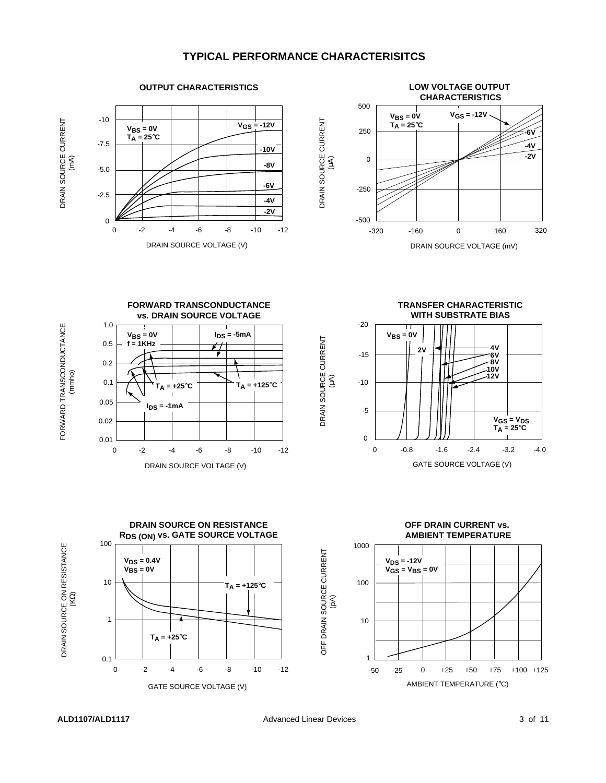### **TYPICAL PERFORMANCE CHARACTERISITCS**

DRAIN SOURCE CURRENT





FORWARD TRANSCONDUCTANCE FORWARD TRANSCONDUCTANCE (mmho)





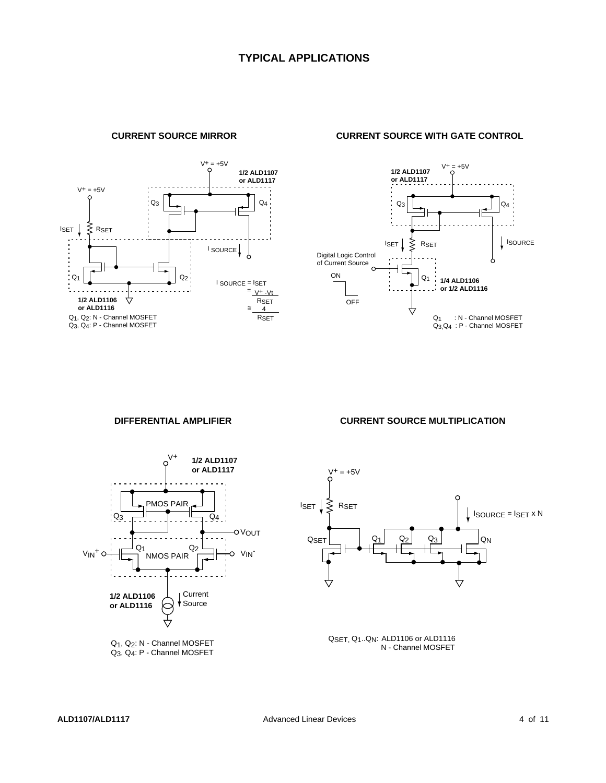

**CURRENT SOURCE MIRROR CURRENT SOURCE WITH GATE CONTROL**





Q1, Q2: N - Channel MOSFET Q3, Q4: P - Channel MOSFET

#### **DIFFERENTIAL AMPLIFIER CURRENT SOURCE MULTIPLICATION**



QSET, Q1..QN: ALD1106 or ALD1116 N - Channel MOSFET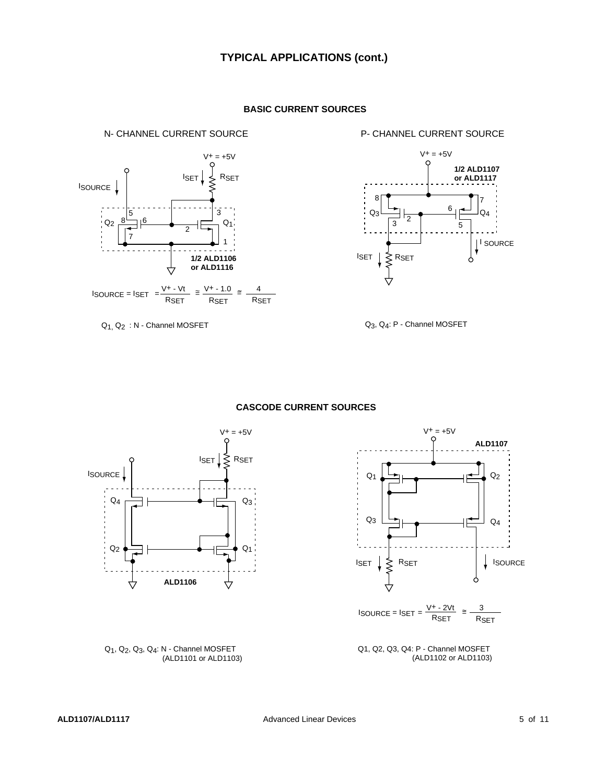

Q1, Q2 : N - Channel MOSFET

**BASIC CURRENT SOURCES**

N- CHANNEL CURRENT SOURCE P- CHANNEL CURRENT SOURCE



Q3, Q4: P - Channel MOSFET

#### **CASCODE CURRENT SOURCES**





Q1, Q2, Q3, Q4: N - Channel MOSFET (ALD1101 or ALD1103)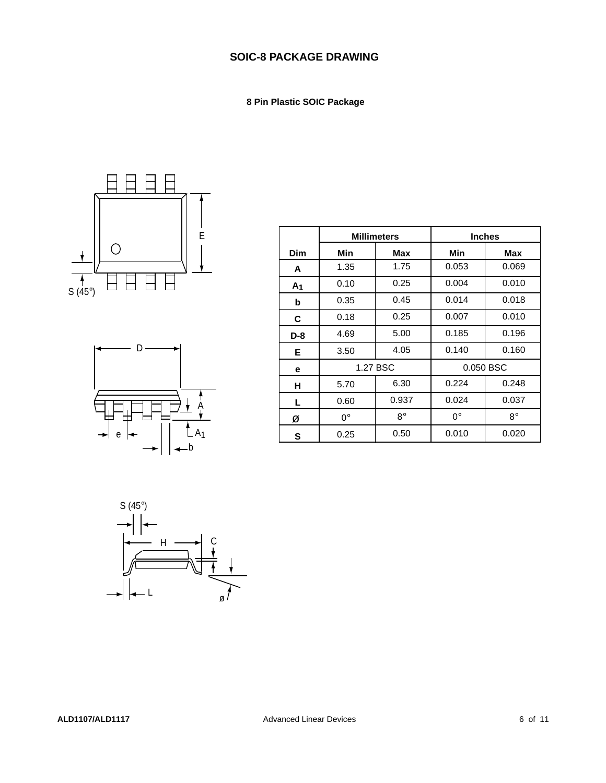## **SOIC-8 PACKAGE DRAWING**

 **8 Pin Plastic SOIC Package**





|                | <b>Millimeters</b> |             | <b>Inches</b> |             |
|----------------|--------------------|-------------|---------------|-------------|
| Dim            | Min                | Max         | Min           | Max         |
| A              | 1.35               | 1.75        | 0.053         | 0.069       |
| A <sub>1</sub> | 0.10               | 0.25        | 0.004         | 0.010       |
| b              | 0.35               | 0.45        | 0.014         | 0.018       |
| C              | 0.18               | 0.25        | 0.007         | 0.010       |
| D-8            | 4.69               | 5.00        | 0.185         | 0.196       |
| Е              | 3.50               | 4.05        | 0.140         | 0.160       |
| е              |                    | 1.27 BSC    | 0.050 BSC     |             |
| н              | 5.70               | 6.30        | 0.224         | 0.248       |
| L.             | 0.60               | 0.937       | 0.024         | 0.037       |
| Ø              | $0^{\circ}$        | $8^{\circ}$ | $0^{\circ}$   | $8^{\circ}$ |
| S              | 0.25               | 0.50        | 0.010         | 0.020       |

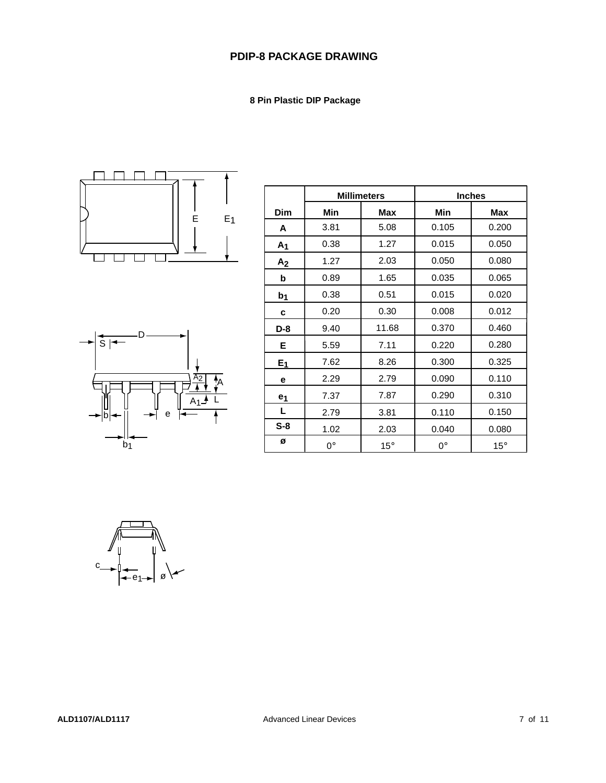### **PDIP-8 PACKAGE DRAWING**

 **8 Pin Plastic DIP Package**





|                | <b>Millimeters</b> |              | <b>Inches</b> |              |
|----------------|--------------------|--------------|---------------|--------------|
| <b>Dim</b>     | Min                | Max          | Min           | Max          |
| A              | 3.81               | 5.08         | 0.105         | 0.200        |
| A <sub>1</sub> | 0.38               | 1.27         | 0.015         | 0.050        |
| A <sub>2</sub> | 1.27               | 2.03         | 0.050         | 0.080        |
| b              | 0.89               | 1.65         | 0.035         | 0.065        |
| b <sub>1</sub> | 0.38               | 0.51         | 0.015         | 0.020        |
| C              | 0.20               | 0.30         | 0.008         | 0.012        |
| $D-8$          | 9.40               | 11.68        | 0.370         | 0.460        |
| Е              | 5.59               | 7.11         | 0.220         | 0.280        |
| $E_1$          | 7.62               | 8.26         | 0.300         | 0.325        |
| е              | 2.29               | 2.79         | 0.090         | 0.110        |
| e <sub>1</sub> | 7.37               | 7.87         | 0.290         | 0.310        |
| L              | 2.79               | 3.81         | 0.110         | 0.150        |
| $S-8$          | 1.02               | 2.03         | 0.040         | 0.080        |
| Ø              | $0^{\circ}$        | $15^{\circ}$ | 0°            | $15^{\circ}$ |

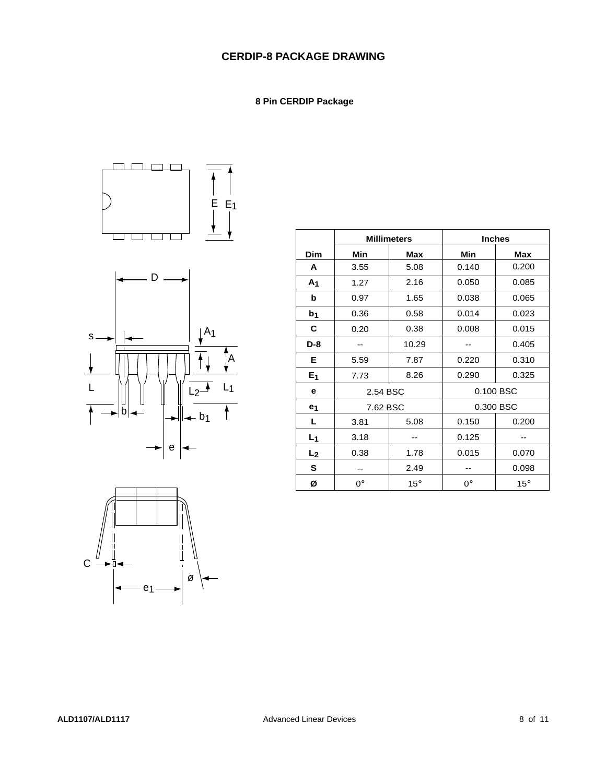## **CERDIP-8 PACKAGE DRAWING**

### **8 Pin CERDIP Package**

 $\overline{1}$ 





|                | <b>Millimeters</b> |              | <b>Inches</b> |              |  |
|----------------|--------------------|--------------|---------------|--------------|--|
| Dim            | Min                | Max          | Min           | Max          |  |
| Α              | 3.55               | 5.08         | 0.140         | 0.200        |  |
| A <sub>1</sub> | 1.27               | 2.16         | 0.050         | 0.085        |  |
| b              | 0.97               | 1.65         | 0.038         | 0.065        |  |
| b <sub>1</sub> | 0.36               | 0.58         | 0.014         | 0.023        |  |
| С              | 0.20               | 0.38         | 0.008         | 0.015        |  |
| $D-8$          |                    | 10.29        |               | 0.405        |  |
| Е              | 5.59               | 7.87         | 0.220         | 0.310        |  |
| E <sub>1</sub> | 7.73               | 8.26         | 0.290         | 0.325        |  |
| е              | 2.54 BSC           |              | 0.100 BSC     |              |  |
| e <sub>1</sub> | 7.62 BSC           |              | 0.300 BSC     |              |  |
| L              | 3.81               | 5.08         | 0.150         | 0.200        |  |
| $L_1$          | 3.18               |              | 0.125         |              |  |
| L <sub>2</sub> | 0.38               | 1.78         | 0.015         | 0.070        |  |
| S              | --                 | 2.49         | --            | 0.098        |  |
| Ø              | 0°                 | $15^{\circ}$ | $0^{\circ}$   | $15^{\circ}$ |  |

T

٦

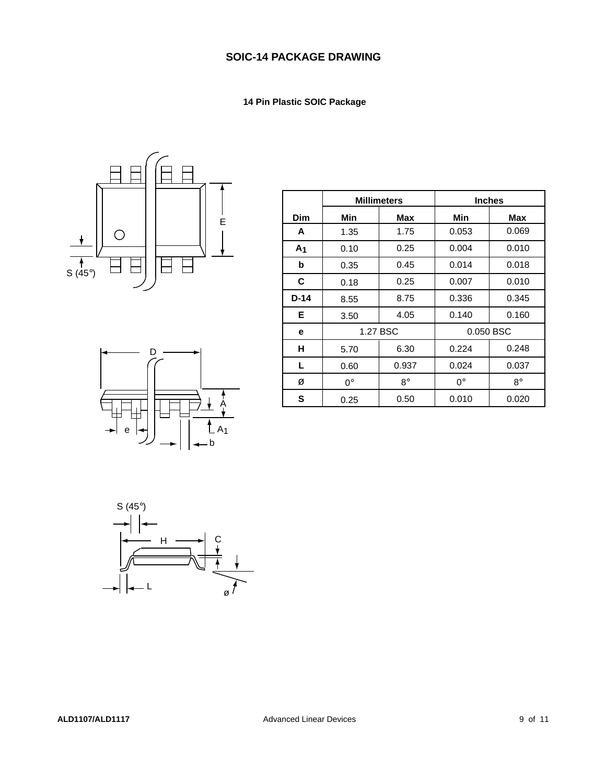## **SOIC-14 PACKAGE DRAWING**

### **14 Pin Plastic SOIC Package**





|                | <b>Millimeters</b> |           | <b>Inches</b> |             |
|----------------|--------------------|-----------|---------------|-------------|
| Dim            | Min                | Max       | Min           | Max         |
| A              | 1.35               | 1.75      | 0.053         | 0.069       |
| A <sub>1</sub> | 0.10               | 0.25      | 0.004         | 0.010       |
| b              | 0.35               | 0.45      | 0.014         | 0.018       |
| C              | 0.18               | 0.25      | 0.007         | 0.010       |
| $D-14$         | 8.55               | 8.75      | 0.336         | 0.345       |
| Е              | 3.50               | 4.05      | 0.140         | 0.160       |
| е              |                    | 1.27 BSC  | 0.050 BSC     |             |
| н              | 5.70               | 6.30      | 0.224         | 0.248       |
| L.             | 0.60               | 0.937     | 0.024         | 0.037       |
| Ø              | $0^{\circ}$        | $8^\circ$ | $0^{\circ}$   | $8^{\circ}$ |
| S              | 0.25               | 0.50      | 0.010         | 0.020       |

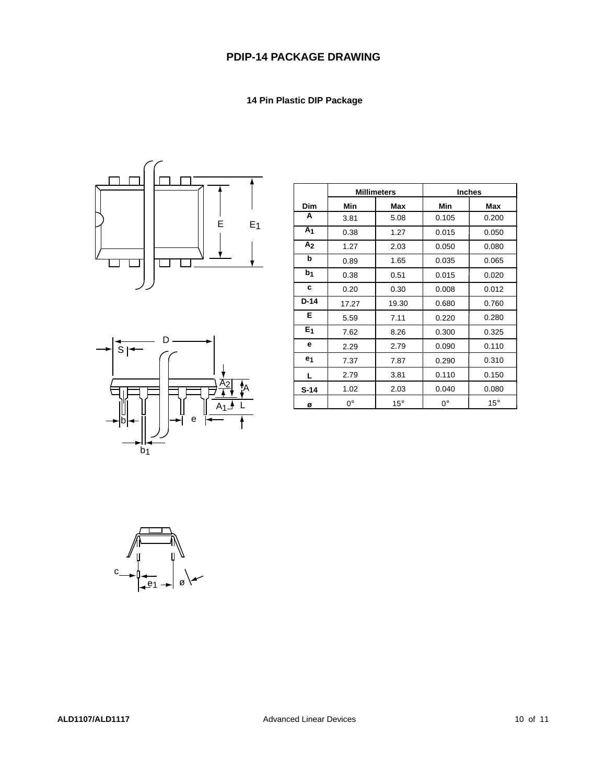## **PDIP-14 PACKAGE DRAWING**

#### **14 Pin Plastic DIP Package**





|                | <b>Millimeters</b> |            |       | <b>Inches</b> |
|----------------|--------------------|------------|-------|---------------|
| <b>Dim</b>     | Min                | Max        | Min   | Max           |
| A              | 3.81               | 5.08       | 0.105 | 0.200         |
| A <sub>1</sub> | 0.38               | 1.27       | 0.015 | 0.050         |
| A <sub>2</sub> | 1.27               | 2.03       | 0.050 | 0.080         |
| b              | 0.89               | 1.65       | 0.035 | 0.065         |
| b <sub>1</sub> | 0.38               | 0.51       | 0.015 | 0.020         |
| c              | 0.20               | 0.30       | 0.008 | 0.012         |
| $D-14$         | 17.27              | 19.30      | 0.680 | 0.760         |
| Е              | 5.59               | 7.11       | 0.220 | 0.280         |
| E <sub>1</sub> | 7.62               | 8.26       | 0.300 | 0.325         |
| е              | 2.29               | 2.79       | 0.090 | 0.110         |
| e <sub>1</sub> | 7.37               | 7.87       | 0.290 | 0.310         |
| L              | 2.79               | 3.81       | 0.110 | 0.150         |
| $S-14$         | 1.02               | 2.03       | 0.040 | 0.080         |
| ø              | $0^{\circ}$        | $15^\circ$ | 0°    | $15^\circ$    |

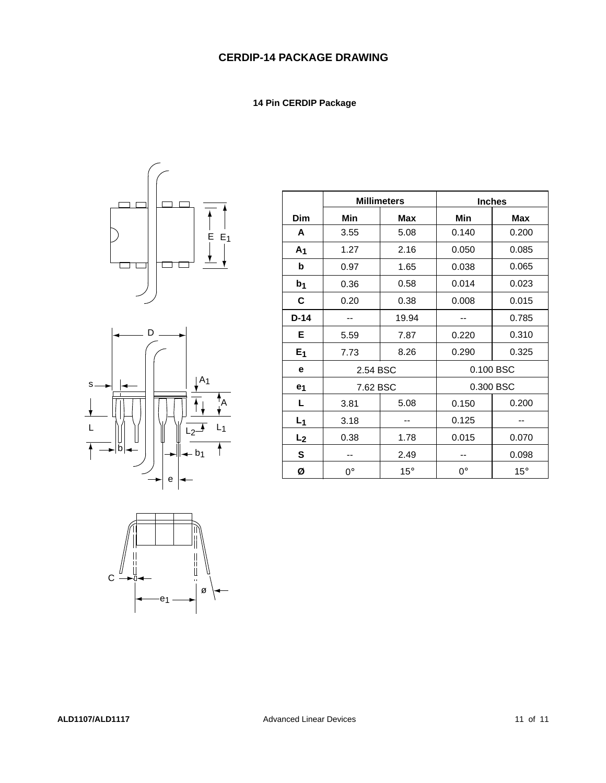#### **14 Pin CERDIP Package**





|                |          | <b>Millimeters</b> |             | <b>Inches</b> |
|----------------|----------|--------------------|-------------|---------------|
| <b>Dim</b>     | Min      | <b>Max</b>         | Min         | <b>Max</b>    |
| A              | 3.55     | 5.08               | 0.140       | 0.200         |
| A <sub>1</sub> | 1.27     | 2.16               | 0.050       | 0.085         |
| b              | 0.97     | 1.65               | 0.038       | 0.065         |
| b <sub>1</sub> | 0.36     | 0.58               | 0.014       | 0.023         |
| C              | 0.20     | 0.38               | 0.008       | 0.015         |
| $D-14$         |          | 19.94              |             | 0.785         |
| Е              | 5.59     | 7.87               | 0.220       | 0.310         |
| E <sub>1</sub> | 7.73     | 8.26               | 0.290       | 0.325         |
| е              | 2.54 BSC |                    | 0.100 BSC   |               |
| e <sub>1</sub> | 7.62 BSC |                    |             | 0.300 BSC     |
| L              | 3.81     | 5.08               | 0.150       | 0.200         |
| L <sub>1</sub> | 3.18     |                    | 0.125       |               |
| L <sub>2</sub> | 0.38     | 1.78               | 0.015       | 0.070         |
| S              | --       | 2.49               |             | 0.098         |
| ø              | 0°       | $15^{\circ}$       | $0^{\circ}$ | $15^{\circ}$  |